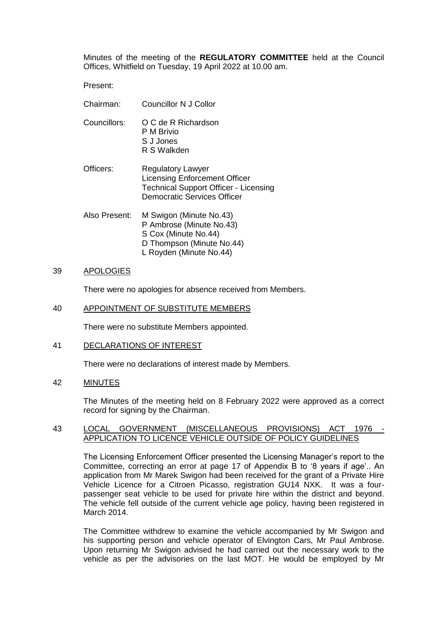Minutes of the meeting of the **REGULATORY COMMITTEE** held at the Council Offices, Whitfield on Tuesday, 19 April 2022 at 10.00 am.

Present:

- Chairman: Councillor N J Collor
- Councillors: O C de R Richardson P M Brivio S J Jones R S Walkden
- Officers: Regulatory Lawyer Licensing Enforcement Officer Technical Support Officer - Licensing Democratic Services Officer
- Also Present: M Swigon (Minute No.43) P Ambrose (Minute No.43) S Cox (Minute No.44) D Thompson (Minute No.44) L Royden (Minute No.44)

# 39 APOLOGIES

There were no apologies for absence received from Members.

## 40 APPOINTMENT OF SUBSTITUTE MEMBERS

There were no substitute Members appointed.

### 41 DECLARATIONS OF INTEREST

There were no declarations of interest made by Members.

## 42 MINUTES

The Minutes of the meeting held on 8 February 2022 were approved as a correct record for signing by the Chairman.

### 43 LOCAL GOVERNMENT (MISCELLANEOUS PROVISIONS) ACT 1976 APPLICATION TO LICENCE VEHICLE OUTSIDE OF POLICY GUIDELINES

The Licensing Enforcement Officer presented the Licensing Manager's report to the Committee, correcting an error at page 17 of Appendix B to '8 years if age'.. An application from Mr Marek Swigon had been received for the grant of a Private Hire Vehicle Licence for a Citroen Picasso, registration GU14 NXK. It was a fourpassenger seat vehicle to be used for private hire within the district and beyond. The vehicle fell outside of the current vehicle age policy, having been registered in March 2014.

The Committee withdrew to examine the vehicle accompanied by Mr Swigon and his supporting person and vehicle operator of Elvington Cars, Mr Paul Ambrose. Upon returning Mr Swigon advised he had carried out the necessary work to the vehicle as per the advisories on the last MOT. He would be employed by Mr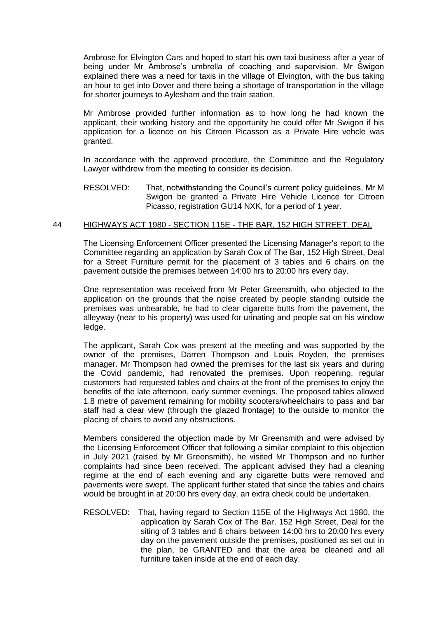Ambrose for Elvington Cars and hoped to start his own taxi business after a year of being under Mr Ambrose's umbrella of coaching and supervision. Mr Swigon explained there was a need for taxis in the village of Elvington, with the bus taking an hour to get into Dover and there being a shortage of transportation in the village for shorter journeys to Aylesham and the train station.

Mr Ambrose provided further information as to how long he had known the applicant, their working history and the opportunity he could offer Mr Swigon if his application for a licence on his Citroen Picasson as a Private Hire vehcle was granted.

In accordance with the approved procedure, the Committee and the Regulatory Lawyer withdrew from the meeting to consider its decision.

RESOLVED: That, notwithstanding the Council's current policy guidelines, Mr M Swigon be granted a Private Hire Vehicle Licence for Citroen Picasso, registration GU14 NXK, for a period of 1 year.

### 44 HIGHWAYS ACT 1980 - SECTION 115E - THE BAR, 152 HIGH STREET, DEAL

The Licensing Enforcement Officer presented the Licensing Manager's report to the Committee regarding an application by Sarah Cox of The Bar, 152 High Street, Deal for a Street Furniture permit for the placement of 3 tables and 6 chairs on the pavement outside the premises between 14:00 hrs to 20:00 hrs every day.

One representation was received from Mr Peter Greensmith, who objected to the application on the grounds that the noise created by people standing outside the premises was unbearable, he had to clear cigarette butts from the pavement, the alleyway (near to his property) was used for urinating and people sat on his window ledge.

The applicant, Sarah Cox was present at the meeting and was supported by the owner of the premises, Darren Thompson and Louis Royden, the premises manager. Mr Thompson had owned the premises for the last six years and during the Covid pandemic, had renovated the premises. Upon reopening, regular customers had requested tables and chairs at the front of the premises to enjoy the benefits of the late afternoon, early summer evenings. The proposed tables allowed 1.8 metre of pavement remaining for mobility scooters/wheelchairs to pass and bar staff had a clear view (through the glazed frontage) to the outside to monitor the placing of chairs to avoid any obstructions.

Members considered the objection made by Mr Greensmith and were advised by the Licensing Enforcement Officer that following a similar complaint to this objection in July 2021 (raised by Mr Greensmith), he visited Mr Thompson and no further complaints had since been received. The applicant advised they had a cleaning regime at the end of each evening and any cigarette butts were removed and pavements were swept. The applicant further stated that since the tables and chairs would be brought in at 20:00 hrs every day, an extra check could be undertaken.

RESOLVED: That, having regard to Section 115E of the Highways Act 1980, the application by Sarah Cox of The Bar, 152 High Street, Deal for the siting of 3 tables and 6 chairs between 14:00 hrs to 20:00 hrs every day on the pavement outside the premises, positioned as set out in the plan, be GRANTED and that the area be cleaned and all furniture taken inside at the end of each day.